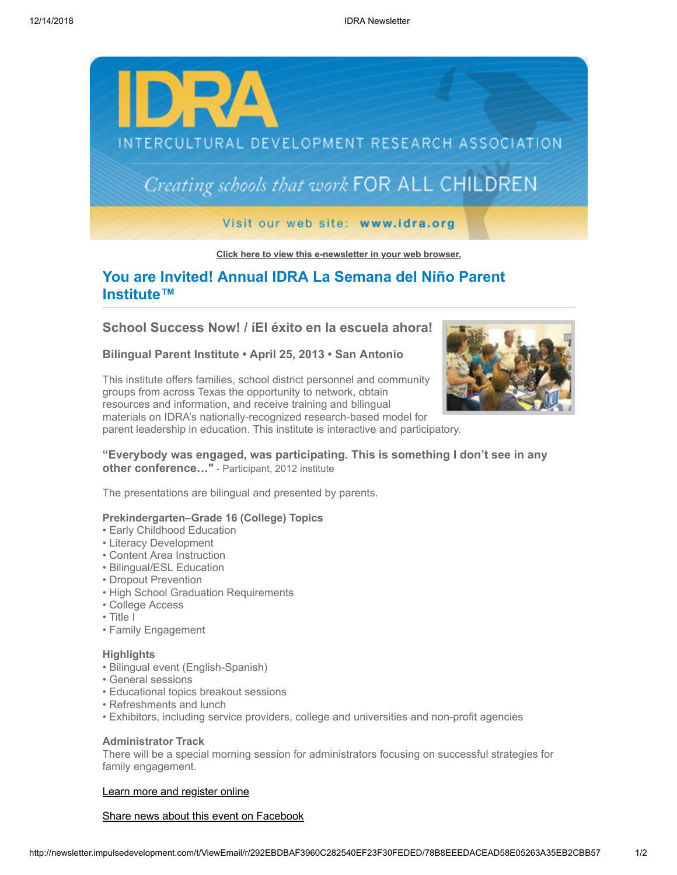

**[Click here to view this e-newsletter in your web browser.](http://newsletter.impulsedevelopment.com/t/r-e-ojtdrhk-jtljthkrtl-r/)**

# **You are Invited! Annual IDRA La Semana del Niño Parent Institute™**

**School Success Now! / íEl éxito en la escuela ahora!**

**Bilingual Parent Institute • April 25, 2013 • San Antonio**

This institute offers families, school district personnel and community groups from across Texas the opportunity to network, obtain resources and information, and receive training and bilingual materials on IDRA's nationally-recognized research-based model for parent leadership in education. This institute is interactive and participatory.



**"Everybody was engaged, was participating. This is something I don't see in any other conference…"** - Participant, 2012 institute

The presentations are bilingual and presented by parents.

## **Prekindergarten–Grade 16 (College) Topics**

- Early Childhood Education
- Literacy Development
- Content Area Instruction
- Bilingual/ESL Education
- Dropout Prevention
- High School Graduation Requirements
- College Access
- Title I
- Family Engagement

### **Highlights**

- Bilingual event (English-Spanish)
- General sessions
- Educational topics breakout sessions
- Refreshments and lunch
- Exhibitors, including service providers, college and universities and non-profit agencies

## **Administrator Track**

There will be a special morning session for administrators focusing on successful strategies for family engagement.

# [Learn more and register online](http://idra.createsend1.com/t/r-l-ojtdrhk-jtljthkrtl-i/)

#### [Share news about this event on Facebook](http://newsletter.impulsedevelopment.com/t/r-fb-ojtdrhk-jtljthkrtl-n/?act=wv)